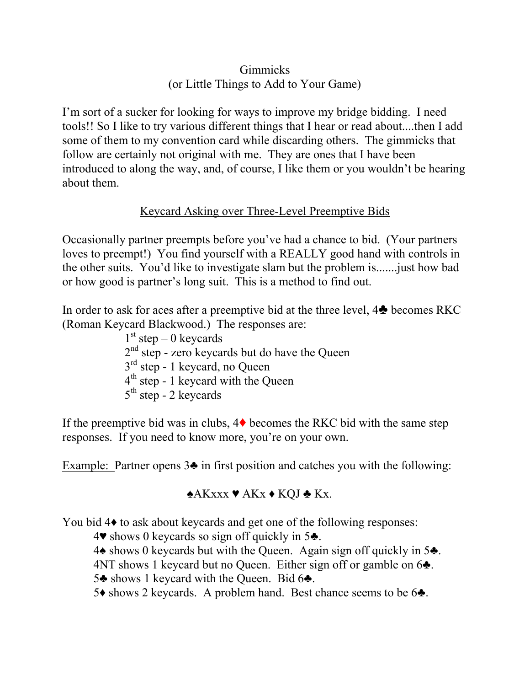## Gimmicks (or Little Things to Add to Your Game)

I'm sort of a sucker for looking for ways to improve my bridge bidding. I need tools!! So I like to try various different things that I hear or read about....then I add some of them to my convention card while discarding others. The gimmicks that follow are certainly not original with me. They are ones that I have been introduced to along the way, and, of course, I like them or you wouldn't be hearing about them.

# Keycard Asking over Three-Level Preemptive Bids

Occasionally partner preempts before you've had a chance to bid. (Your partners loves to preempt!) You find yourself with a REALLY good hand with controls in the other suits. You'd like to investigate slam but the problem is.......just how bad or how good is partner's long suit. This is a method to find out.

In order to ask for aces after a preemptive bid at the three level,  $4\clubsuit$  becomes RKC (Roman Keycard Blackwood.) The responses are:

> $1<sup>st</sup>$  step – 0 keycards  $2<sup>nd</sup>$  step - zero keycards but do have the Queen 3<sup>rd</sup> step - 1 keycard, no Queen 4<sup>th</sup> step - 1 keycard with the Queen  $5<sup>th</sup>$  step - 2 keycards

If the preemptive bid was in clubs,  $4\blacklozenge$  becomes the RKC bid with the same step responses. If you need to know more, you're on your own.

Example: Partner opens 3♣ in first position and catches you with the following:

# ♠AKxxx ♥ AKx ♦ KQJ ♣ Kx.

You bid 4 $\bullet$  to ask about keycards and get one of the following responses:

4♥ shows 0 keycards so sign off quickly in 5♣.

4♠ shows 0 keycards but with the Queen. Again sign off quickly in 5♣.

4NT shows 1 keycard but no Queen. Either sign off or gamble on 6♣.

5♣ shows 1 keycard with the Queen. Bid 6♣.

5♦ shows 2 keycards. A problem hand. Best chance seems to be 6♣.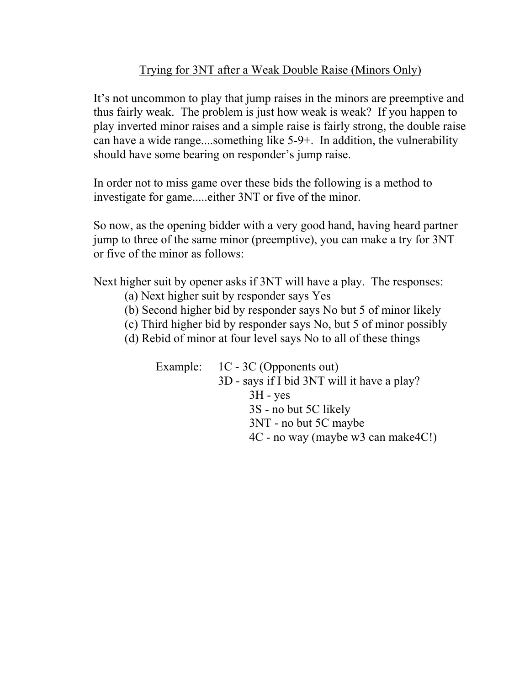## Trying for 3NT after a Weak Double Raise (Minors Only)

It's not uncommon to play that jump raises in the minors are preemptive and thus fairly weak. The problem is just how weak is weak? If you happen to play inverted minor raises and a simple raise is fairly strong, the double raise can have a wide range....something like 5-9+. In addition, the vulnerability should have some bearing on responder's jump raise.

In order not to miss game over these bids the following is a method to investigate for game.....either 3NT or five of the minor.

So now, as the opening bidder with a very good hand, having heard partner jump to three of the same minor (preemptive), you can make a try for 3NT or five of the minor as follows:

Next higher suit by opener asks if 3NT will have a play. The responses:

- (a) Next higher suit by responder says Yes
- (b) Second higher bid by responder says No but 5 of minor likely
- (c) Third higher bid by responder says No, but 5 of minor possibly
- (d) Rebid of minor at four level says No to all of these things

Example: 1C - 3C (Opponents out) 3D - says if I bid 3NT will it have a play?  $3H - yes$ 3S - no but 5C likely 3NT - no but 5C maybe 4C - no way (maybe w3 can make4C!)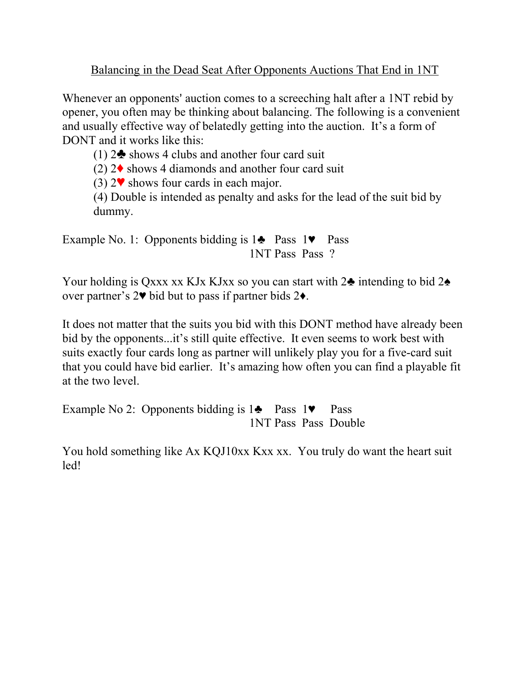Balancing in the Dead Seat After Opponents Auctions That End in 1NT

Whenever an opponents' auction comes to a screeching halt after a 1NT rebid by opener, you often may be thinking about balancing. The following is a convenient and usually effective way of belatedly getting into the auction. It's a form of DONT and it works like this:

(1)  $2\clubsuit$  shows 4 clubs and another four card suit

(2)  $2\blacklozenge$  shows 4 diamonds and another four card suit

(3)  $2\blacktriangledown$  shows four cards in each major.

(4) Double is intended as penalty and asks for the lead of the suit bid by dummy.

Example No. 1: Opponents bidding is 1♣ Pass 1♥ Pass 1NT Pass Pass ?

Your holding is Qxxx xx KJx KJxx so you can start with  $2\triangle$  intending to bid  $2\triangle$ over partner's 2♥ bid but to pass if partner bids 2♦.

It does not matter that the suits you bid with this DONT method have already been bid by the opponents...it's still quite effective. It even seems to work best with suits exactly four cards long as partner will unlikely play you for a five-card suit that you could have bid earlier. It's amazing how often you can find a playable fit at the two level.

Example No 2: Opponents bidding is  $1 \cdot \cdot \cdot$  Pass 1 $\cdot \cdot$  Pass 1NT Pass Pass Double

You hold something like Ax KQJ10xx Kxx xx. You truly do want the heart suit led!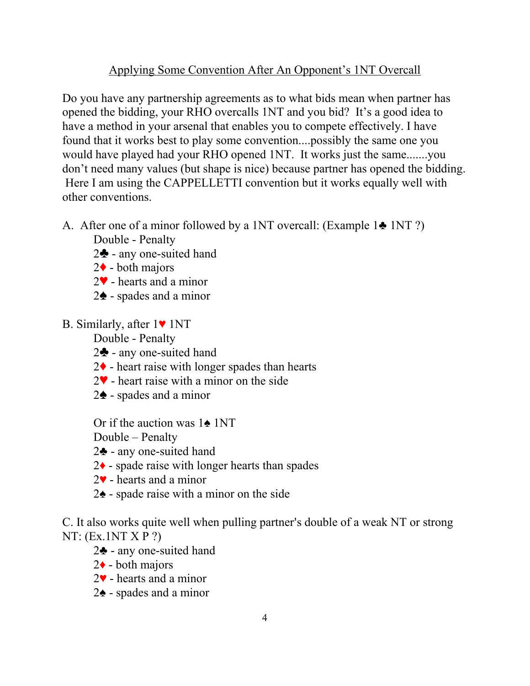## Applying Some Convention After An Opponent's 1NT Overcall

Do you have any partnership agreements as to what bids mean when partner has opened the bidding, your RHO overcalls 1NT and you bid? It's a good idea to have a method in your arsenal that enables you to compete effectively. I have found that it works best to play some convention....possibly the same one you would have played had your RHO opened 1NT. It works just the same.......you don't need many values (but shape is nice) because partner has opened the bidding. Here I am using the CAPPELLETTI convention but it works equally well with other conventions.

A. After one of a minor followed by a 1NT overcall: (Example 1♣ 1NT ?)

Double - Penalty

- $2\clubsuit$  any one-suited hand
- $2\blacklozenge$  both majors
- $2\blacktriangledown$  hearts and a minor
- $2\spadesuit$  spades and a minor
- B. Similarly, after 1♥ 1NT

Double - Penalty

- $2\clubsuit$  any one-suited hand
- $2\blacklozenge$  heart raise with longer spades than hearts
- $2\blacktriangledown$  heart raise with a minor on the side
- $2\spadesuit$  spades and a minor

Or if the auction was 1♠ 1NT

Double – Penalty

- 2♣ any one-suited hand
- 2♦ spade raise with longer hearts than spades
- 2♥ hearts and a minor
- 2♠ spade raise with a minor on the side

C. It also works quite well when pulling partner's double of a weak NT or strong NT: (Ex.1NT X P ?)

- 2♣ any one-suited hand
- $2\bullet$  both majors
- 2♥ hearts and a minor
- 2♠ spades and a minor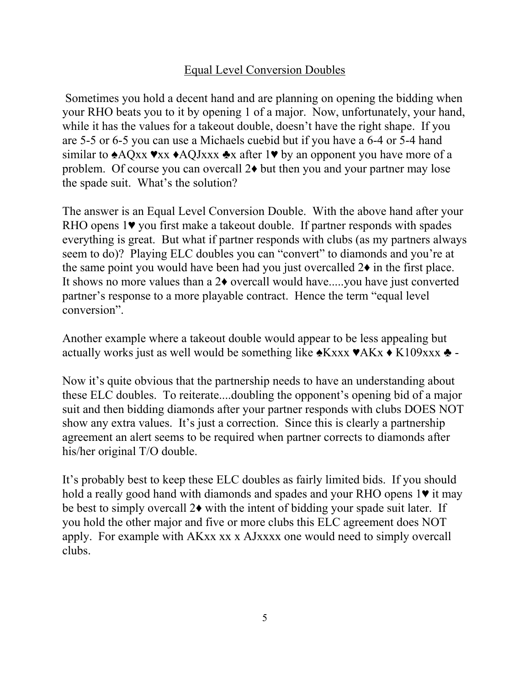### Equal Level Conversion Doubles

 Sometimes you hold a decent hand and are planning on opening the bidding when your RHO beats you to it by opening 1 of a major. Now, unfortunately, your hand, while it has the values for a takeout double, doesn't have the right shape. If you are 5-5 or 6-5 you can use a Michaels cuebid but if you have a 6-4 or 5-4 hand similar to  $\triangle AQxx \blacktriangleright AQJxxx \triangleleft x$  after 1 $\nblacktriangleright$  by an opponent you have more of a problem. Of course you can overcall 2♦ but then you and your partner may lose the spade suit. What's the solution?

The answer is an Equal Level Conversion Double. With the above hand after your RHO opens 1♥ you first make a takeout double. If partner responds with spades everything is great. But what if partner responds with clubs (as my partners always seem to do)? Playing ELC doubles you can "convert" to diamonds and you're at the same point you would have been had you just overcalled  $2\bullet$  in the first place. It shows no more values than a 2♦ overcall would have.....you have just converted partner's response to a more playable contract. Hence the term "equal level conversion".

Another example where a takeout double would appear to be less appealing but actually works just as well would be something like  $\triangle$ Kxxx  $\triangle$ AKx  $\triangle$ K109xxx  $\triangle$  -

Now it's quite obvious that the partnership needs to have an understanding about these ELC doubles. To reiterate....doubling the opponent's opening bid of a major suit and then bidding diamonds after your partner responds with clubs DOES NOT show any extra values. It's just a correction. Since this is clearly a partnership agreement an alert seems to be required when partner corrects to diamonds after his/her original T/O double.

It's probably best to keep these ELC doubles as fairly limited bids. If you should hold a really good hand with diamonds and spades and your RHO opens 1♥ it may be best to simply overcall 2♦ with the intent of bidding your spade suit later. If you hold the other major and five or more clubs this ELC agreement does NOT apply. For example with AKxx xx x AJxxxx one would need to simply overcall clubs.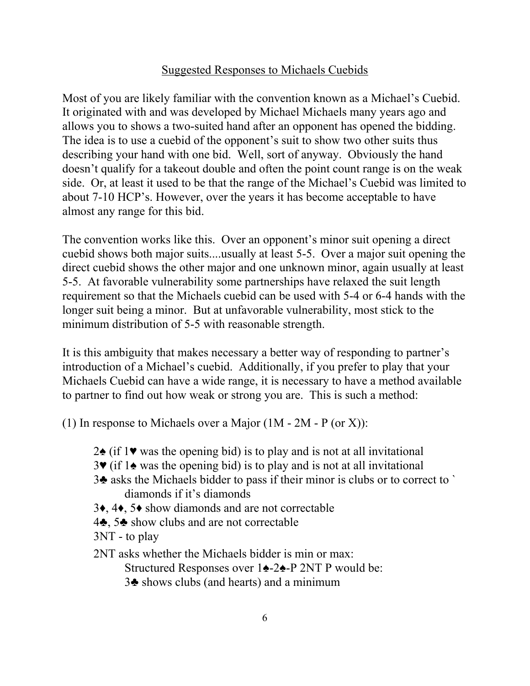#### Suggested Responses to Michaels Cuebids

Most of you are likely familiar with the convention known as a Michael's Cuebid. It originated with and was developed by Michael Michaels many years ago and allows you to shows a two-suited hand after an opponent has opened the bidding. The idea is to use a cuebid of the opponent's suit to show two other suits thus describing your hand with one bid. Well, sort of anyway. Obviously the hand doesn't qualify for a takeout double and often the point count range is on the weak side. Or, at least it used to be that the range of the Michael's Cuebid was limited to about 7-10 HCP's. However, over the years it has become acceptable to have almost any range for this bid.

The convention works like this. Over an opponent's minor suit opening a direct cuebid shows both major suits....usually at least 5-5. Over a major suit opening the direct cuebid shows the other major and one unknown minor, again usually at least 5-5. At favorable vulnerability some partnerships have relaxed the suit length requirement so that the Michaels cuebid can be used with 5-4 or 6-4 hands with the longer suit being a minor. But at unfavorable vulnerability, most stick to the minimum distribution of 5-5 with reasonable strength.

It is this ambiguity that makes necessary a better way of responding to partner's introduction of a Michael's cuebid. Additionally, if you prefer to play that your Michaels Cuebid can have a wide range, it is necessary to have a method available to partner to find out how weak or strong you are. This is such a method:

(1) In response to Michaels over a Major  $(1M - 2M - P$  (or X)):

- 2♠ (if 1♥ was the opening bid) is to play and is not at all invitational
- 3♥ (if 1♠ was the opening bid) is to play and is not at all invitational
- 3♣ asks the Michaels bidder to pass if their minor is clubs or to correct to ` diamonds if it's diamonds
- 3♦, 4♦, 5♦ show diamonds and are not correctable
- 4♣, 5♣ show clubs and are not correctable
- 3NT to play
- 2NT asks whether the Michaels bidder is min or max:

Structured Responses over 1♠-2♠-P 2NT P would be:

3♣ shows clubs (and hearts) and a minimum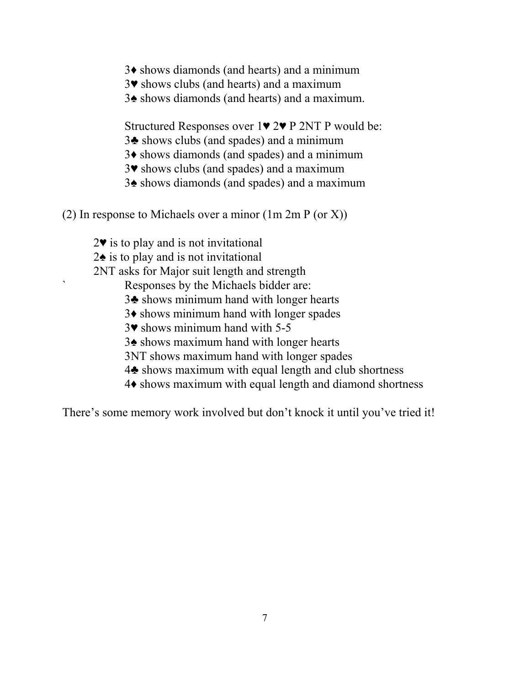- ♦ shows diamonds (and hearts) and a minimum
- ♥ shows clubs (and hearts) and a maximum
- ♠ shows diamonds (and hearts) and a maximum.

Structured Responses over 1♥ 2♥ P 2NT P would be:

- ♣ shows clubs (and spades) and a minimum
- ♦ shows diamonds (and spades) and a minimum
- ♥ shows clubs (and spades) and a maximum
- ♠ shows diamonds (and spades) and a maximum
- (2) In response to Michaels over a minor (1m 2m P (or X))
	- ♥ is to play and is not invitational
	- ♠ is to play and is not invitational
	- 2NT asks for Major suit length and strength
		- ` Responses by the Michaels bidder are:
		- ♣ shows minimum hand with longer hearts
		- ♦ shows minimum hand with longer spades
		- ♥ shows minimum hand with 5-5
		- ♠ shows maximum hand with longer hearts
		- 3NT shows maximum hand with longer spades
		- ♣ shows maximum with equal length and club shortness
		- ♦ shows maximum with equal length and diamond shortness

There's some memory work involved but don't knock it until you've tried it!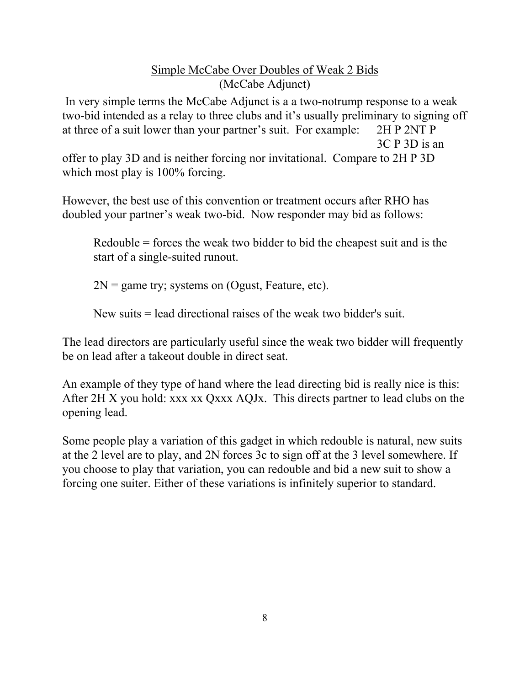### Simple McCabe Over Doubles of Weak 2 Bids (McCabe Adjunct)

In very simple terms the McCabe Adjunct is a a two-notrump response to a weak two-bid intended as a relay to three clubs and it's usually preliminary to signing off at three of a suit lower than your partner's suit. For example: 2H P 2NT P 3C P 3D is an offer to play 3D and is neither forcing nor invitational. Compare to 2H P 3D which most play is  $100\%$  forcing.

However, the best use of this convention or treatment occurs after RHO has doubled your partner's weak two-bid. Now responder may bid as follows:

Redouble = forces the weak two bidder to bid the cheapest suit and is the start of a single-suited runout.

 $2N =$  game try; systems on (Ogust, Feature, etc).

New suits = lead directional raises of the weak two bidder's suit.

The lead directors are particularly useful since the weak two bidder will frequently be on lead after a takeout double in direct seat.

An example of they type of hand where the lead directing bid is really nice is this: After 2H X you hold: xxx xx Qxxx AQJx. This directs partner to lead clubs on the opening lead.

Some people play a variation of this gadget in which redouble is natural, new suits at the 2 level are to play, and 2N forces 3c to sign off at the 3 level somewhere. If you choose to play that variation, you can redouble and bid a new suit to show a forcing one suiter. Either of these variations is infinitely superior to standard.